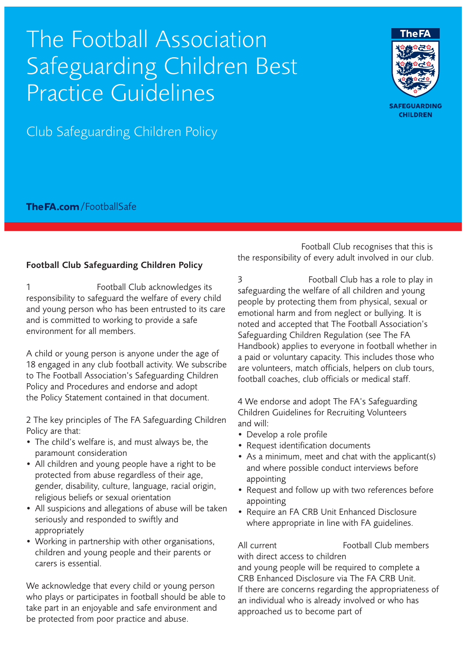## The Football Association Safeguarding Children Best Practice Guidelines

Club Safeguarding Children Policy

**The FA.com** / Football Safe

## Football Club Safeguarding Children Policy

1 **Install Football Club acknowledges its** responsibility to safeguard the welfare of every child and young person who has been entrusted to its care and is committed to working to provide a safe environment for all members.

A child or young person is anyone under the age of 18 engaged in any club football activity. We subscribe to The Football Association's Safeguarding Children Policy and Procedures and endorse and adopt the Policy Statement contained in that document.

2 The key principles of The FA Safeguarding Children Policy are that:

- The child's welfare is, and must always be, the paramount consideration
- All children and young people have a right to be protected from abuse regardless of their age, gender, disability, culture, language, racial origin, religious beliefs or sexual orientation
- All suspicions and allegations of abuse will be taken seriously and responded to swiftly and appropriately
- Working in partnership with other organisations, children and young people and their parents or carers is essential.

We acknowledge that every child or young person who plays or participates in football should be able to take part in an enjoyable and safe environment and be protected from poor practice and abuse.

Football Club recognises that this is the responsibility of every adult involved in our club.

3 **Inspiring Football Club has a role to play in** safeguarding the welfare of all children and young people by protecting them from physical, sexual or emotional harm and from neglect or bullying. It is noted and accepted that The Football Association's Safeguarding Children Regulation (see The FA Handbook) applies to everyone in football whether in a paid or voluntary capacity. This includes those who are volunteers, match officials, helpers on club tours, football coaches, club officials or medical staff.

4 We endorse and adopt The FA's Safeguarding Children Guidelines for Recruiting Volunteers and will:

- Develop a role profile
- Request identification documents
- As a minimum, meet and chat with the applicant(s) and where possible conduct interviews before appointing
- Request and follow up with two references before appointing
- Require an FA CRB Unit Enhanced Disclosure where appropriate in line with FA guidelines.

All current (Institute of Football Club members) with direct access to children and young people will be required to complete a CRB Enhanced Disclosure via The FA CRB Unit. If there are concerns regarding the appropriateness of an individual who is already involved or who has approached us to become part of